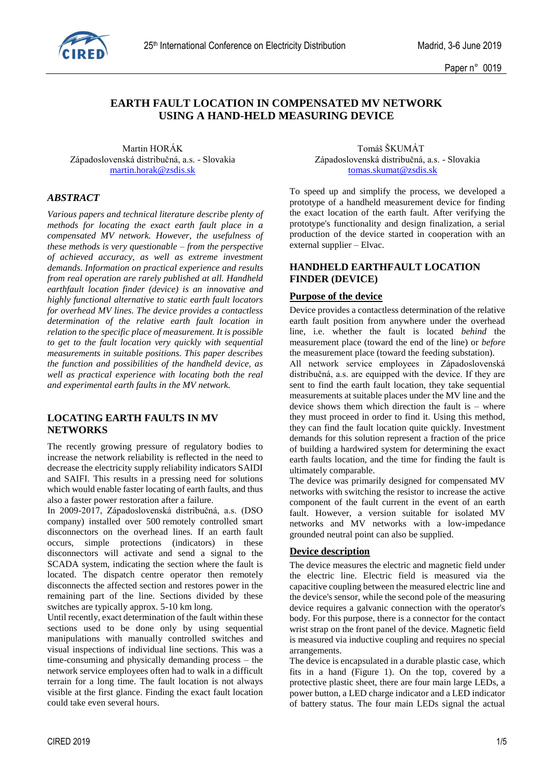

# **EARTH FAULT LOCATION IN COMPENSATED MV NETWORK USING A HAND-HELD MEASURING DEVICE**

Martin HORÁK Tomáš ŠKUMÁT Západoslovenská distribučná, a.s. - Slovakia Západoslovenská distribučná, a.s. - Slovakia [martin.horak@zsdis.sk](mailto:martin.horak@zsdis.sk) [tomas.skumat@zsdis.sk](mailto:tomas.skumat@zsdis.sk)

# *ABSTRACT*

*Various papers and technical literature describe plenty of methods for locating the exact earth fault place in a compensated MV network. However, the usefulness of these methods is very questionable – from the perspective of achieved accuracy, as well as extreme investment demands. Information on practical experience and results from real operation are rarely published at all. Handheld earthfault location finder (device) is an innovative and highly functional alternative to static earth fault locators for overhead MV lines. The device provides a contactless determination of the relative earth fault location in relation to the specific place of measurement. It is possible to get to the fault location very quickly with sequential measurements in suitable positions. This paper describes the function and possibilities of the handheld device, as well as practical experience with locating both the real and experimental earth faults in the MV network.*

# **LOCATING EARTH FAULTS IN MV NETWORKS**

The recently growing pressure of regulatory bodies to increase the network reliability is reflected in the need to decrease the electricity supply reliability indicators SAIDI and SAIFI. This results in a pressing need for solutions which would enable faster locating of earth faults, and thus also a faster power restoration after a failure.

In 2009-2017, Západoslovenská distribučná, a.s. (DSO company) installed over 500 remotely controlled smart disconnectors on the overhead lines. If an earth fault occurs, simple protections (indicators) in these disconnectors will activate and send a signal to the SCADA system, indicating the section where the fault is located. The dispatch centre operator then remotely disconnects the affected section and restores power in the remaining part of the line. Sections divided by these switches are typically approx. 5-10 km long.

Until recently, exact determination of the fault within these sections used to be done only by using sequential manipulations with manually controlled switches and visual inspections of individual line sections. This was a time-consuming and physically demanding process – the network service employees often had to walk in a difficult terrain for a long time. The fault location is not always visible at the first glance. Finding the exact fault location could take even several hours.

To speed up and simplify the process, we developed a prototype of a handheld measurement device for finding the exact location of the earth fault. After verifying the prototype's functionality and design finalization, a serial production of the device started in cooperation with an external supplier – Elvac.

# **HANDHELD EARTHFAULT LOCATION FINDER (DEVICE)**

#### **Purpose of the device**

Device provides a contactless determination of the relative earth fault position from anywhere under the overhead line, i.e. whether the fault is located *behind* the measurement place (toward the end of the line) or *before* the measurement place (toward the feeding substation).

All network service employees in Západoslovenská distribučná, a.s. are equipped with the device. If they are sent to find the earth fault location, they take sequential measurements at suitable places under the MV line and the device shows them which direction the fault is – where they must proceed in order to find it. Using this method, they can find the fault location quite quickly. Investment demands for this solution represent a fraction of the price of building a hardwired system for determining the exact earth faults location, and the time for finding the fault is ultimately comparable.

The device was primarily designed for compensated MV networks with switching the resistor to increase the active component of the fault current in the event of an earth fault. However, a version suitable for isolated MV networks and MV networks with a low-impedance grounded neutral point can also be supplied.

# **Device description**

The device measures the electric and magnetic field under the electric line. Electric field is measured via the capacitive coupling between the measured electric line and the device's sensor, while the second pole of the measuring device requires a galvanic connection with the operator's body. For this purpose, there is a connector for the contact wrist strap on the front panel of the device. Magnetic field is measured via inductive coupling and requires no special arrangements.

The device is encapsulated in a durable plastic case, which fits in a hand (Figure 1). On the top, covered by a protective plastic sheet, there are four main large LEDs, a power button, a LED charge indicator and a LED indicator of battery status. The four main LEDs signal the actual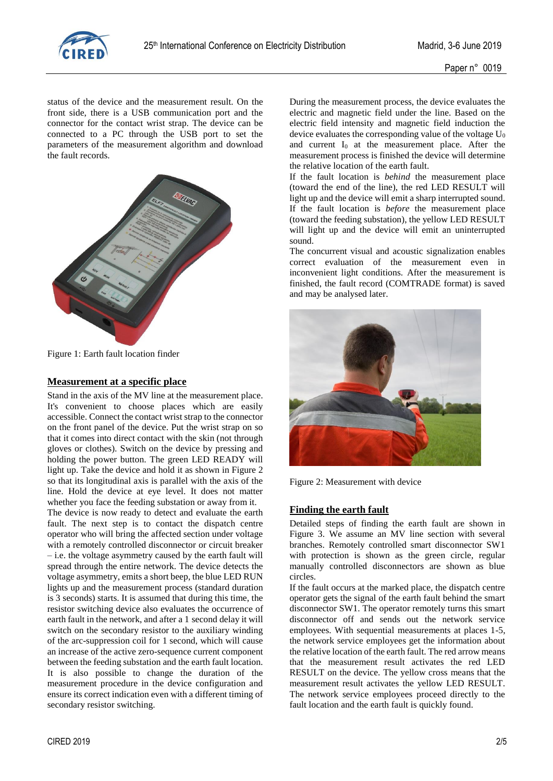

status of the device and the measurement result. On the front side, there is a USB communication port and the connector for the contact wrist strap. The device can be connected to a PC through the USB port to set the parameters of the measurement algorithm and download the fault records.



Figure 1: Earth fault location finder

#### **Measurement at a specific place**

Stand in the axis of the MV line at the measurement place. It's convenient to choose places which are easily accessible. Connect the contact wrist strap to the connector on the front panel of the device. Put the wrist strap on so that it comes into direct contact with the skin (not through gloves or clothes). Switch on the device by pressing and holding the power button. The green LED READY will light up. Take the device and hold it as shown in Figure 2 so that its longitudinal axis is parallel with the axis of the line. Hold the device at eye level. It does not matter whether you face the feeding substation or away from it.

The device is now ready to detect and evaluate the earth fault. The next step is to contact the dispatch centre operator who will bring the affected section under voltage with a remotely controlled disconnector or circuit breaker – i.e. the voltage asymmetry caused by the earth fault will spread through the entire network. The device detects the voltage asymmetry, emits a short beep, the blue LED RUN lights up and the measurement process (standard duration is 3 seconds) starts. It is assumed that during this time, the resistor switching device also evaluates the occurrence of earth fault in the network, and after a 1 second delay it will switch on the secondary resistor to the auxiliary winding of the arc-suppression coil for 1 second, which will cause an increase of the active zero-sequence current component between the feeding substation and the earth fault location. It is also possible to change the duration of the measurement procedure in the device configuration and ensure its correct indication even with a different timing of secondary resistor switching.

During the measurement process, the device evaluates the electric and magnetic field under the line. Based on the electric field intensity and magnetic field induction the device evaluates the corresponding value of the voltage  $U_0$ and current  $I_0$  at the measurement place. After the measurement process is finished the device will determine the relative location of the earth fault.

If the fault location is *behind* the measurement place (toward the end of the line), the red LED RESULT will light up and the device will emit a sharp interrupted sound. If the fault location is *before* the measurement place (toward the feeding substation), the yellow LED RESULT will light up and the device will emit an uninterrupted sound.

The concurrent visual and acoustic signalization enables correct evaluation of the measurement even in inconvenient light conditions. After the measurement is finished, the fault record (COMTRADE format) is saved and may be analysed later.



Figure 2: Measurement with device

# **Finding the earth fault**

Detailed steps of finding the earth fault are shown in Figure 3. We assume an MV line section with several branches. Remotely controlled smart disconnector SW1 with protection is shown as the green circle, regular manually controlled disconnectors are shown as blue circles.

If the fault occurs at the marked place, the dispatch centre operator gets the signal of the earth fault behind the smart disconnector SW1. The operator remotely turns this smart disconnector off and sends out the network service employees. With sequential measurements at places 1-5, the network service employees get the information about the relative location of the earth fault. The red arrow means that the measurement result activates the red LED RESULT on the device. The yellow cross means that the measurement result activates the yellow LED RESULT. The network service employees proceed directly to the fault location and the earth fault is quickly found.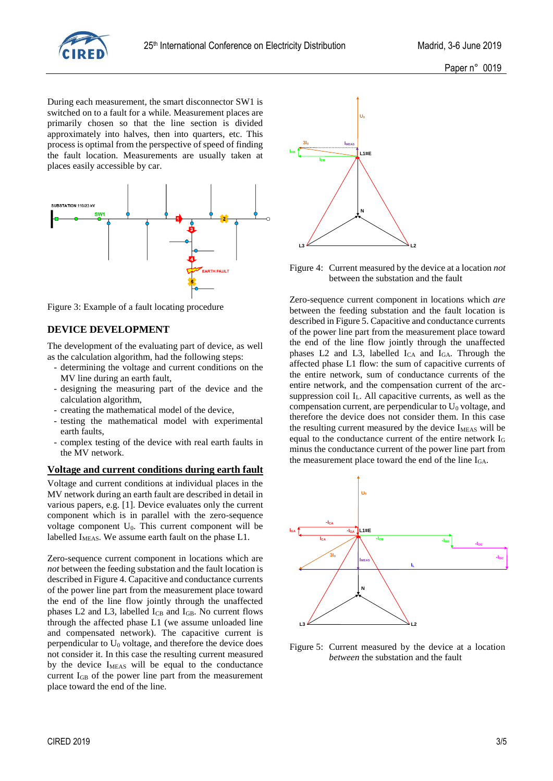

During each measurement, the smart disconnector SW1 is switched on to a fault for a while. Measurement places are primarily chosen so that the line section is divided approximately into halves, then into quarters, etc. This process is optimal from the perspective of speed of finding the fault location. Measurements are usually taken at places easily accessible by car.



Figure 3: Example of a fault locating procedure

#### **DEVICE DEVELOPMENT**

The development of the evaluating part of device, as well as the calculation algorithm, had the following steps:

- determining the voltage and current conditions on the MV line during an earth fault,
- designing the measuring part of the device and the calculation algorithm,
- creating the mathematical model of the device,
- testing the mathematical model with experimental earth faults,
- complex testing of the device with real earth faults in the MV network.

#### **Voltage and current conditions during earth fault**

Voltage and current conditions at individual places in the MV network during an earth fault are described in detail in various papers, e.g. [1]. Device evaluates only the current component which is in parallel with the zero-sequence voltage component  $U_0$ . This current component will be labelled I<sub>MEAS</sub>. We assume earth fault on the phase L1.

Zero-sequence current component in locations which are *not* between the feeding substation and the fault location is described in Figure 4. Capacitive and conductance currents of the power line part from the measurement place toward the end of the line flow jointly through the unaffected phases L2 and L3, labelled  $I_{CB}$  and  $I_{GB}$ . No current flows through the affected phase L1 (we assume unloaded line and compensated network). The capacitive current is perpendicular to  $U_0$  voltage, and therefore the device does not consider it. In this case the resulting current measured by the device  $I_{MEAS}$  will be equal to the conductance current IGB of the power line part from the measurement place toward the end of the line.



Figure 4: Current measured by the device at a location *not* between the substation and the fault

Zero-sequence current component in locations which *are* between the feeding substation and the fault location is described in Figure 5. Capacitive and conductance currents of the power line part from the measurement place toward the end of the line flow jointly through the unaffected phases L2 and L3, labelled  $I_{CA}$  and  $I_{GA}$ . Through the affected phase L1 flow: the sum of capacitive currents of the entire network, sum of conductance currents of the entire network, and the compensation current of the arcsuppression coil  $I_L$ . All capacitive currents, as well as the compensation current, are perpendicular to  $U_0$  voltage, and therefore the device does not consider them. In this case the resulting current measured by the device  $I_{MEAS}$  will be equal to the conductance current of the entire network I<sup>G</sup> minus the conductance current of the power line part from the measurement place toward the end of the line IGA.



Figure 5: Current measured by the device at a location *between* the substation and the fault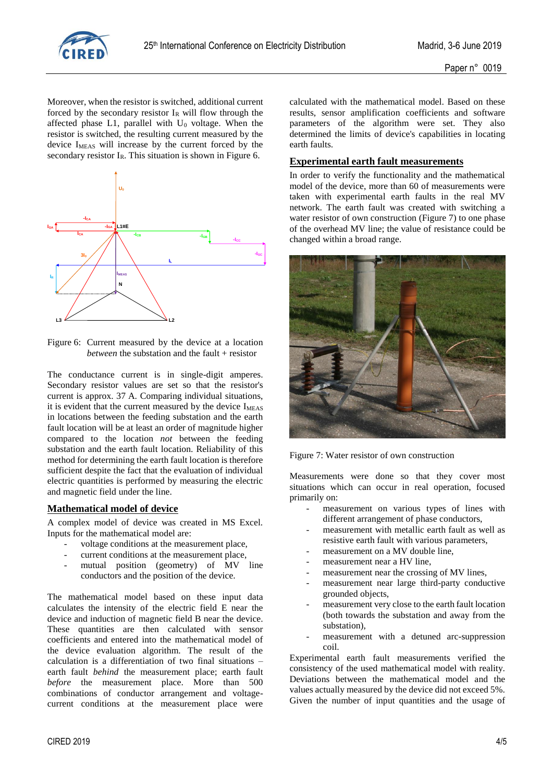

Moreover, when the resistor is switched, additional current forced by the secondary resistor  $I_R$  will flow through the affected phase L1, parallel with  $U_0$  voltage. When the resistor is switched, the resulting current measured by the device I<sub>MEAS</sub> will increase by the current forced by the secondary resistor I<sub>R</sub>. This situation is shown in Figure 6.



Figure 6: Current measured by the device at a location *between* the substation and the fault + resistor

The conductance current is in single-digit amperes. Secondary resistor values are set so that the resistor's current is approx. 37 A. Comparing individual situations, it is evident that the current measured by the device I<sub>MEAS</sub> in locations between the feeding substation and the earth fault location will be at least an order of magnitude higher compared to the location *not* between the feeding substation and the earth fault location. Reliability of this method for determining the earth fault location is therefore sufficient despite the fact that the evaluation of individual electric quantities is performed by measuring the electric and magnetic field under the line.

# **Mathematical model of device**

A complex model of device was created in MS Excel. Inputs for the mathematical model are:

- voltage conditions at the measurement place,
- current conditions at the measurement place,
- mutual position (geometry) of MV line conductors and the position of the device.

The mathematical model based on these input data calculates the intensity of the electric field E near the device and induction of magnetic field B near the device. These quantities are then calculated with sensor coefficients and entered into the mathematical model of the device evaluation algorithm. The result of the calculation is a differentiation of two final situations – earth fault *behind* the measurement place; earth fault *before* the measurement place. More than 500 combinations of conductor arrangement and voltagecurrent conditions at the measurement place were

calculated with the mathematical model. Based on these results, sensor amplification coefficients and software parameters of the algorithm were set. They also determined the limits of device's capabilities in locating earth faults.

### **Experimental earth fault measurements**

In order to verify the functionality and the mathematical model of the device, more than 60 of measurements were taken with experimental earth faults in the real MV network. The earth fault was created with switching a water resistor of own construction (Figure 7) to one phase of the overhead MV line; the value of resistance could be changed within a broad range.



Figure 7: Water resistor of own construction

Measurements were done so that they cover most situations which can occur in real operation, focused primarily on:

- measurement on various types of lines with different arrangement of phase conductors,
- measurement with metallic earth fault as well as resistive earth fault with various parameters,
- measurement on a MV double line,
- measurement near a HV line,
- measurement near the crossing of MV lines,
- measurement near large third-party conductive grounded objects,
- measurement very close to the earth fault location (both towards the substation and away from the substation),
- measurement with a detuned arc-suppression coil.

Experimental earth fault measurements verified the consistency of the used mathematical model with reality. Deviations between the mathematical model and the values actually measured by the device did not exceed 5%. Given the number of input quantities and the usage of